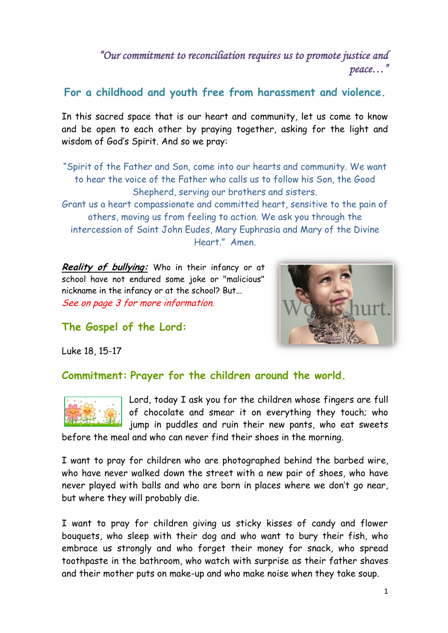# *"Our commitment to reconciliation requires us to promote justice and peace…"*

**For a childhood and youth free from harassment and violence.**

In this sacred space that is our heart and community, let us come to know and be open to each other by praying together, asking for the light and wisdom of God's Spirit. And so we pray:

"Spirit of the Father and Son, come into our hearts and community. We want to hear the voice of the Father who calls us to follow his Son, the Good Shepherd, serving our brothers and sisters.

Grant us a heart compassionate and committed heart, sensitive to the pain of others, moving us from feeling to action. We ask you through the intercession of Saint John Eudes, Mary Euphrasia and Mary of the Divine Heart." Amen.

**Reality of bullying:** Who in their infancy or at school have not endured some joke or "malicious" nickname in the infancy or at the school? But... See on page 3 for more information.



**The Gospel of the Lord:**

Luke 18, 15-17

## **Commitment: Prayer for the children around the world.**



Lord, today I ask you for the children whose fingers are full of chocolate and smear it on everything they touch; who jump in puddles and ruin their new pants, who eat sweets

before the meal and who can never find their shoes in the morning.

I want to pray for children who are photographed behind the barbed wire, who have never walked down the street with a new pair of shoes, who have never played with balls and who are born in places where we don't go near, but where they will probably die.

I want to pray for children giving us sticky kisses of candy and flower bouquets, who sleep with their dog and who want to bury their fish, who embrace us strongly and who forget their money for snack, who spread toothpaste in the bathroom, who watch with surprise as their father shaves and their mother puts on make-up and who make noise when they take soup.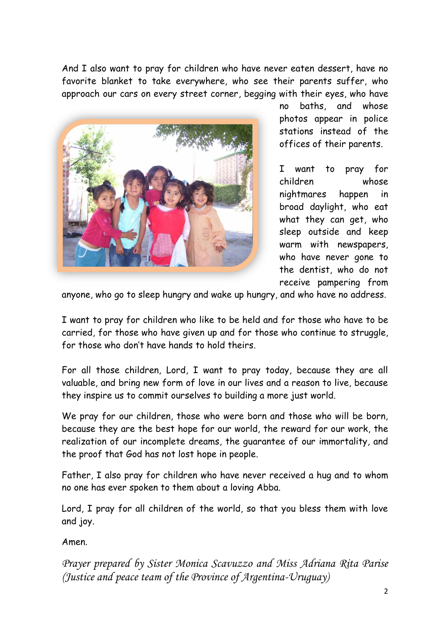And I also want to pray for children who have never eaten dessert, have no favorite blanket to take everywhere, who see their parents suffer, who approach our cars on every street corner, begging with their eyes, who have



no baths, and whose photos appear in police stations instead of the offices of their parents.

I want to pray for children whose nightmares happen in broad daylight, who eat what they can get, who sleep outside and keep warm with newspapers, who have never gone to the dentist, who do not receive pampering from

anyone, who go to sleep hungry and wake up hungry, and who have no address.

I want to pray for children who like to be held and for those who have to be carried, for those who have given up and for those who continue to struggle, for those who don't have hands to hold theirs.

For all those children, Lord, I want to pray today, because they are all valuable, and bring new form of love in our lives and a reason to live, because they inspire us to commit ourselves to building a more just world.

We pray for our children, those who were born and those who will be born, because they are the best hope for our world, the reward for our work, the realization of our incomplete dreams, the guarantee of our immortality, and the proof that God has not lost hope in people.

Father, I also pray for children who have never received a hug and to whom no one has ever spoken to them about a loving Abba.

Lord, I pray for all children of the world, so that you bless them with love and joy.

Amen.

*Prayer prepared by Sister Monica Scavuzzo and Miss Adriana Rita Parise (Justice and peace team of the Province of Argentina-Uruguay)*